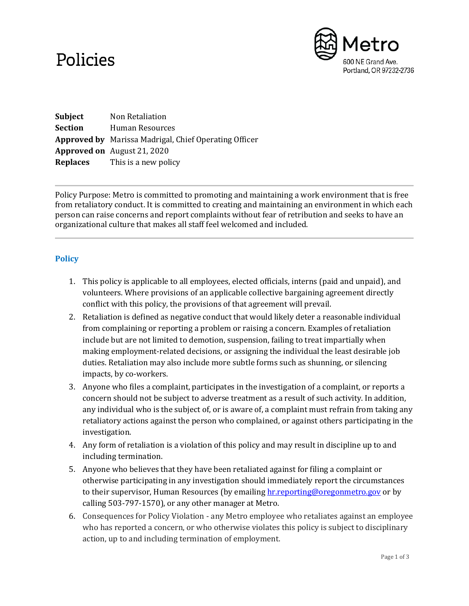## Policies



**Subject** Non Retaliation **Section** Human Resources **Approved by** Marissa Madrigal, Chief Operating Officer **Approved on** August 21, 2020 **Replaces** This is a new policy

Policy Purpose: Metro is committed to promoting and maintaining a work environment that is free from retaliatory conduct. It is committed to creating and maintaining an environment in which each person can raise concerns and report complaints without fear of retribution and seeks to have an organizational culture that makes all staff feel welcomed and included.

## **Policy**

- 1. This policy is applicable to all employees, elected officials, interns (paid and unpaid), and volunteers. Where provisions of an applicable collective bargaining agreement directly conflict with this policy, the provisions of that agreement will prevail.
- 2. Retaliation is defined as negative conduct that would likely deter a reasonable individual from complaining or reporting a problem or raising a concern. Examples of retaliation include but are not limited to demotion, suspension, failing to treat impartially when making employment-related decisions, or assigning the individual the least desirable job duties. Retaliation may also include more subtle forms such as shunning, or silencing impacts, by co-workers.
- 3. Anyone who files a complaint, participates in the investigation of a complaint, or reports a concern should not be subject to adverse treatment as a result of such activity. In addition, any individual who is the subject of, or is aware of, a complaint must refrain from taking any retaliatory actions against the person who complained, or against others participating in the investigation.
- 4. Any form of retaliation is a violation of this policy and may result in discipline up to and including termination.
- 5. Anyone who believes that they have been retaliated against for filing a complaint or otherwise participating in any investigation should immediately report the circumstances to their supervisor, Human Resources (by emailing hr. reporting@oregonmetro.gov or by calling 503-797-1570), or any other manager at Metro.
- 6. Consequences for Policy Violation any Metro employee who retaliates against an employee who has reported a concern, or who otherwise violates this policy is subject to disciplinary action, up to and including termination of employment.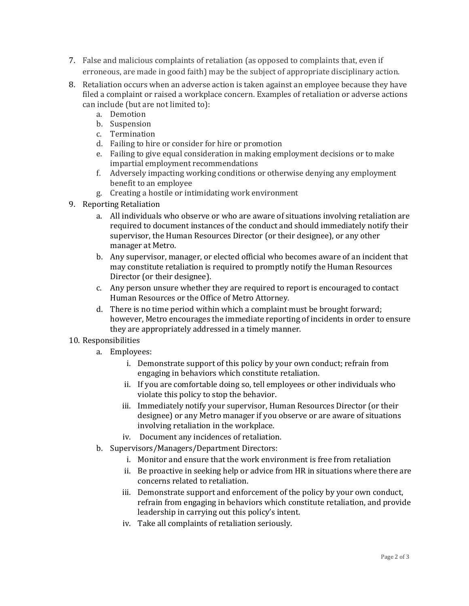- 7. False and malicious complaints of retaliation (as opposed to complaints that, even if erroneous, are made in good faith) may be the subject of appropriate disciplinary action.
- 8. Retaliation occurs when an adverse action is taken against an employee because they have filed a complaint or raised a workplace concern. Examples of retaliation or adverse actions can include (but are not limited to):
	- a. Demotion
	- b. Suspension
	- c. Termination
	- d. Failing to hire or consider for hire or promotion
	- e. Failing to give equal consideration in making employment decisions or to make impartial employment recommendations
	- f. Adversely impacting working conditions or otherwise denying any employment benefit to an employee
	- g. Creating a hostile or intimidating work environment
- 9. Reporting Retaliation
	- a. All individuals who observe or who are aware of situations involving retaliation are required to document instances of the conduct and should immediately notify their supervisor, the Human Resources Director (or their designee), or any other manager at Metro.
	- b. Any supervisor, manager, or elected official who becomes aware of an incident that may constitute retaliation is required to promptly notify the Human Resources Director (or their designee).
	- c. Any person unsure whether they are required to report is encouraged to contact Human Resources or the Office of Metro Attorney.
	- d. There is no time period within which a complaint must be brought forward; however, Metro encourages the immediate reporting of incidents in order to ensure they are appropriately addressed in a timely manner.
- 10. Responsibilities
	- a. Employees:
		- i. Demonstrate support of this policy by your own conduct; refrain from engaging in behaviors which constitute retaliation.
		- ii. If you are comfortable doing so, tell employees or other individuals who violate this policy to stop the behavior.
		- iii. Immediately notify your supervisor, Human Resources Director (or their designee) or any Metro manager if you observe or are aware of situations involving retaliation in the workplace.
		- iv. Document any incidences of retaliation.
	- b. Supervisors/Managers/Department Directors:
		- i. Monitor and ensure that the work environment is free from retaliation
		- ii. Be proactive in seeking help or advice from HR in situations where there are concerns related to retaliation.
		- iii. Demonstrate support and enforcement of the policy by your own conduct, refrain from engaging in behaviors which constitute retaliation, and provide leadership in carrying out this policy's intent.
		- iv. Take all complaints of retaliation seriously.